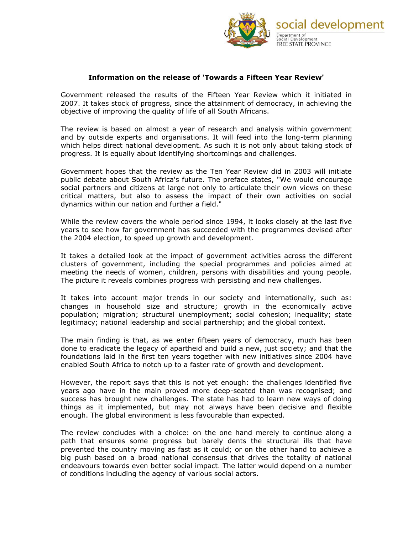

## **Information on the release of 'Towards a Fifteen Year Review'**

Government released the results of the Fifteen Year Review which it initiated in 2007. It takes stock of progress, since the attainment of democracy, in achieving the objective of improving the quality of life of all South Africans.

The review is based on almost a year of research and analysis within government and by outside experts and organisations. It will feed into the long-term planning which helps direct national development. As such it is not only about taking stock of progress. It is equally about identifying shortcomings and challenges.

Government hopes that the review as the Ten Year Review did in 2003 will initiate public debate about South Africa's future. The preface states, "We would encourage social partners and citizens at large not only to articulate their own views on these critical matters, but also to assess the impact of their own activities on social dynamics within our nation and further a field."

While the review covers the whole period since 1994, it looks closely at the last five years to see how far government has succeeded with the programmes devised after the 2004 election, to speed up growth and development.

It takes a detailed look at the impact of government activities across the different clusters of government, including the special programmes and policies aimed at meeting the needs of women, children, persons with disabilities and young people. The picture it reveals combines progress with persisting and new challenges.

It takes into account major trends in our society and internationally, such as: changes in household size and structure; growth in the economically active population; migration; structural unemployment; social cohesion; inequality; state legitimacy; national leadership and social partnership; and the global context.

The main finding is that, as we enter fifteen years of democracy, much has been done to eradicate the legacy of apartheid and build a new, just society; and that the foundations laid in the first ten years together with new initiatives since 2004 have enabled South Africa to notch up to a faster rate of growth and development.

However, the report says that this is not yet enough: the challenges identified five years ago have in the main proved more deep-seated than was recognised; and success has brought new challenges. The state has had to learn new ways of doing things as it implemented, but may not always have been decisive and flexible enough. The global environment is less favourable than expected.

The review concludes with a choice: on the one hand merely to continue along a path that ensures some progress but barely dents the structural ills that have prevented the country moving as fast as it could; or on the other hand to achieve a big push based on a broad national consensus that drives the totality of national endeavours towards even better social impact. The latter would depend on a number of conditions including the agency of various social actors.